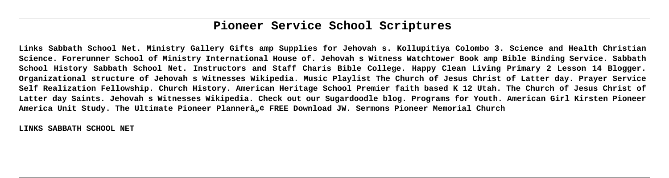# **Pioneer Service School Scriptures**

**Links Sabbath School Net. Ministry Gallery Gifts amp Supplies for Jehovah s. Kollupitiya Colombo 3. Science and Health Christian Science. Forerunner School of Ministry International House of. Jehovah s Witness Watchtower Book amp Bible Binding Service. Sabbath School History Sabbath School Net. Instructors and Staff Charis Bible College. Happy Clean Living Primary 2 Lesson 14 Blogger. Organizational structure of Jehovah s Witnesses Wikipedia. Music Playlist The Church of Jesus Christ of Latter day. Prayer Service Self Realization Fellowship. Church History. American Heritage School Premier faith based K 12 Utah. The Church of Jesus Christ of Latter day Saints. Jehovah s Witnesses Wikipedia. Check out our Sugardoodle blog. Programs for Youth. American Girl Kirsten Pioneer** America Unit Study. The Ultimate Pioneer Plannerâ.,¢ FREE Download JW. Sermons Pioneer Memorial Church

**LINKS SABBATH SCHOOL NET**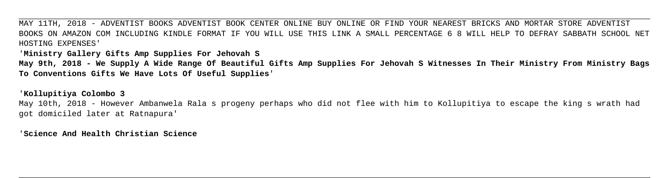MAY 11TH, 2018 - ADVENTIST BOOKS ADVENTIST BOOK CENTER ONLINE BUY ONLINE OR FIND YOUR NEAREST BRICKS AND MORTAR STORE ADVENTIST BOOKS ON AMAZON COM INCLUDING KINDLE FORMAT IF YOU WILL USE THIS LINK A SMALL PERCENTAGE 6 8 WILL HELP TO DEFRAY SABBATH SCHOOL NET HOSTING EXPENSES'

'**Ministry Gallery Gifts Amp Supplies For Jehovah S**

**May 9th, 2018 - We Supply A Wide Range Of Beautiful Gifts Amp Supplies For Jehovah S Witnesses In Their Ministry From Ministry Bags To Conventions Gifts We Have Lots Of Useful Supplies**'

'**Kollupitiya Colombo 3**

May 10th, 2018 - However Ambanwela Rala s progeny perhaps who did not flee with him to Kollupitiya to escape the king s wrath had got domiciled later at Ratnapura'

'**Science And Health Christian Science**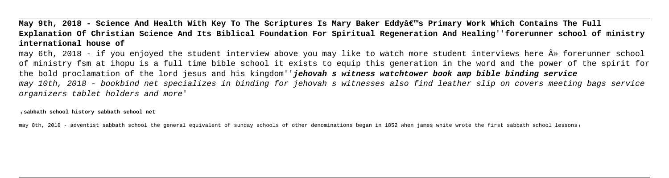May 9th, 2018 - Science And Health With Key To The Scriptures Is Mary Baker Eddyâ€<sup>™</sup>s Primary Work Which Contains The Full **Explanation Of Christian Science And Its Biblical Foundation For Spiritual Regeneration And Healing**''**forerunner school of ministry international house of**

may 6th, 2018 - if you enjoyed the student interview above you may like to watch more student interviews here  $\hat{A}$ » forerunner school of ministry fsm at ihopu is a full time bible school it exists to equip this generation in the word and the power of the spirit for the bold proclamation of the lord jesus and his kingdom''**jehovah s witness watchtower book amp bible binding service** may 10th, 2018 - bookbind net specializes in binding for jehovah s witnesses also find leather slip on covers meeting bags service organizers tablet holders and more'

'**sabbath school history sabbath school net**

may 8th, 2018 - adventist sabbath school the general equivalent of sunday schools of other denominations began in 1852 when james white wrote the first sabbath school lessons,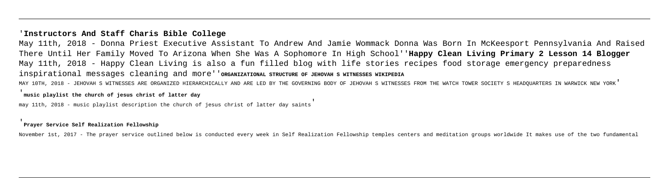### '**Instructors And Staff Charis Bible College**

May 11th, 2018 - Donna Priest Executive Assistant To Andrew And Jamie Wommack Donna Was Born In McKeesport Pennsylvania And Raised There Until Her Family Moved To Arizona When She Was A Sophomore In High School''**Happy Clean Living Primary 2 Lesson 14 Blogger** May 11th, 2018 - Happy Clean Living is also a fun filled blog with life stories recipes food storage emergency preparedness inspirational messages cleaning and more''**ORGANIZATIONAL STRUCTURE OF JEHOVAH S WITNESSES WIKIPEDIA** MAY 10TH, 2018 - JEHOVAH S WITNESSES ARE ORGANIZED HIERARCHICALLY AND ARE LED BY THE GOVERNING BODY OF JEHOVAH S WITNESSES FROM THE WATCH TOWER SOCIETY S HEADOUARTERS IN WARWICK NEW YORK'

#### '**music playlist the church of jesus christ of latter day**

may 11th, 2018 - music playlist description the church of jesus christ of latter day saints'

#### '**Prayer Service Self Realization Fellowship**

November 1st, 2017 - The prayer service outlined below is conducted every week in Self Realization Fellowship temples centers and meditation groups worldwide It makes use of the two fundamental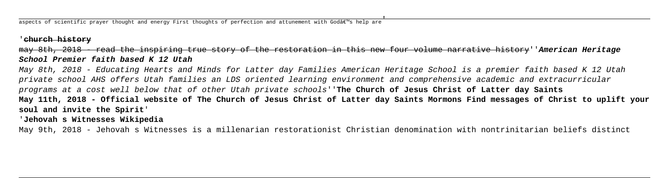aspects of scientific prayer thought and energy First thoughts of perfection and attunement with Godâ $\epsilon$ "s help are

## '**church history**

# may 8th, 2018 - read the inspiring true story of the restoration in this new four volume narrative history''**American Heritage School Premier faith based K 12 Utah**

May 8th, 2018 - Educating Hearts and Minds for Latter day Families American Heritage School is a premier faith based K 12 Utah private school AHS offers Utah families an LDS oriented learning environment and comprehensive academic and extracurricular programs at a cost well below that of other Utah private schools''**The Church of Jesus Christ of Latter day Saints May 11th, 2018 - Official website of The Church of Jesus Christ of Latter day Saints Mormons Find messages of Christ to uplift your soul and invite the Spirit**'

'**Jehovah s Witnesses Wikipedia**

May 9th, 2018 - Jehovah s Witnesses is a millenarian restorationist Christian denomination with nontrinitarian beliefs distinct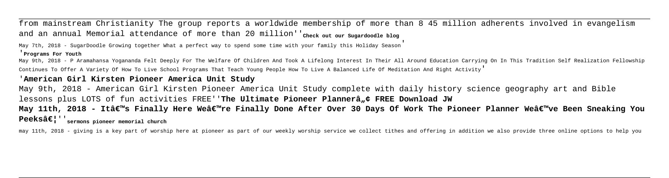from mainstream Christianity The group reports a worldwide membership of more than 8 45 million adherents involved in evangelism and an annual Memorial attendance of more than 20 million''<sub>Check out our sugardoodle blog</sub>

May 7th, 2018 - SugarDoodle Growing together What a perfect way to spend some time with your family this Holiday Season'

#### '**Programs For Youth**

May 9th, 2018 - P Aramahansa Yogananda Felt Deeply For The Welfare Of Children And Took A Lifelong Interest In Their All Around Education Carrying On In This Tradition Self Realization Fellowship Continues To Offer A Variety Of How To Live School Programs That Teach Young People How To Live A Balanced Life Of Meditation And Right Activity'

# '**American Girl Kirsten Pioneer America Unit Study**

May 9th, 2018 - American Girl Kirsten Pioneer America Unit Study complete with daily history science geography art and Bible lessons plus LOTS of fun activities FREE''**The Ultimate Pioneer Plannerâ"¢ FREE Download JW** May 11th, 2018 - It's Finally Here We're Finally Done After Over 30 Days Of Work The Pioneer Planner We've Been Sneaking You

Peeksâ€<sup>| '</sup> sermons pioneer memorial church

may 11th, 2018 - giving is a key part of worship here at pioneer as part of our weekly worship service we collect tithes and offering in addition we also provide three online options to help you